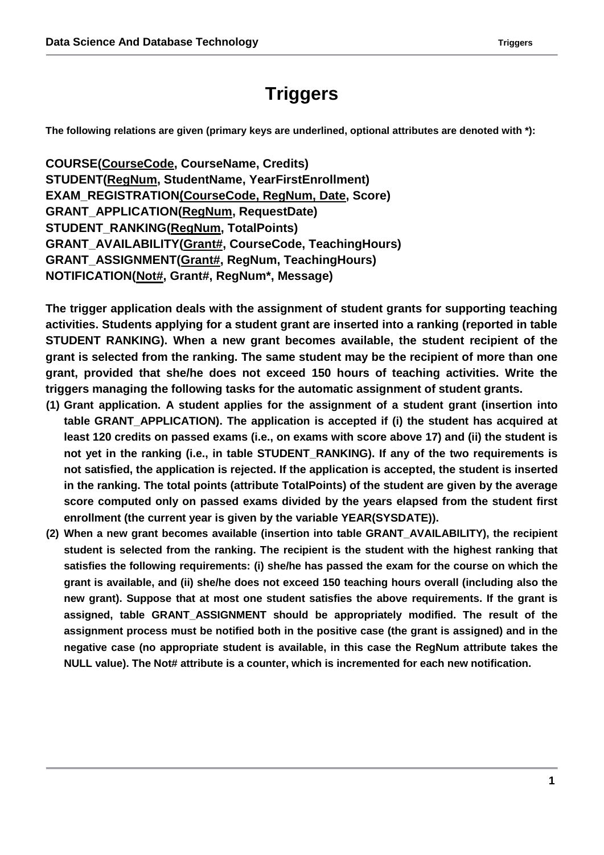# **Triggers**

**The following relations are given (primary keys are underlined, optional attributes are denoted with \*):**

**COURSE(CourseCode, CourseName, Credits) STUDENT(RegNum, StudentName, YearFirstEnrollment) EXAM\_REGISTRATION(CourseCode, RegNum, Date, Score) GRANT\_APPLICATION(RegNum, RequestDate) STUDENT\_RANKING(RegNum, TotalPoints) GRANT\_AVAILABILITY(Grant#, CourseCode, TeachingHours) GRANT\_ASSIGNMENT(Grant#, RegNum, TeachingHours) NOTIFICATION(Not#, Grant#, RegNum\*, Message)**

**The trigger application deals with the assignment of student grants for supporting teaching activities. Students applying for a student grant are inserted into a ranking (reported in table STUDENT RANKING). When a new grant becomes available, the student recipient of the grant is selected from the ranking. The same student may be the recipient of more than one grant, provided that she/he does not exceed 150 hours of teaching activities. Write the triggers managing the following tasks for the automatic assignment of student grants.**

- **(1) Grant application. A student applies for the assignment of a student grant (insertion into table GRANT\_APPLICATION). The application is accepted if (i) the student has acquired at least 120 credits on passed exams (i.e., on exams with score above 17) and (ii) the student is not yet in the ranking (i.e., in table STUDENT\_RANKING). If any of the two requirements is not satisfied, the application is rejected. If the application is accepted, the student is inserted in the ranking. The total points (attribute TotalPoints) of the student are given by the average score computed only on passed exams divided by the years elapsed from the student first enrollment (the current year is given by the variable YEAR(SYSDATE)).**
- **(2) When a new grant becomes available (insertion into table GRANT\_AVAILABILITY), the recipient student is selected from the ranking. The recipient is the student with the highest ranking that satisfies the following requirements: (i) she/he has passed the exam for the course on which the grant is available, and (ii) she/he does not exceed 150 teaching hours overall (including also the new grant). Suppose that at most one student satisfies the above requirements. If the grant is assigned, table GRANT\_ASSIGNMENT should be appropriately modified. The result of the assignment process must be notified both in the positive case (the grant is assigned) and in the negative case (no appropriate student is available, in this case the RegNum attribute takes the NULL value). The Not# attribute is a counter, which is incremented for each new notification.**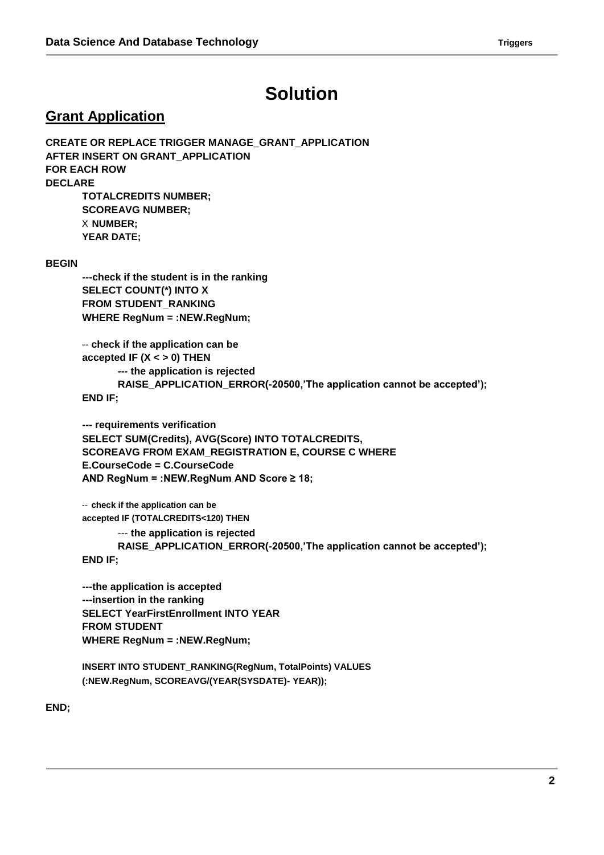## **Solution**

#### **Grant Application**

**CREATE OR REPLACE TRIGGER MANAGE\_GRANT\_APPLICATION AFTER INSERT ON GRANT\_APPLICATION FOR EACH ROW DECLARE TOTALCREDITS NUMBER; SCOREAVG NUMBER;** X **NUMBER; YEAR DATE; BEGIN ---check if the student is in the ranking SELECT COUNT(\*) INTO X FROM STUDENT\_RANKING**

> -- **check if the application can be accepted IF (X < > 0) THEN --- the application is rejected RAISE\_APPLICATION\_ERROR(-20500,'The application cannot be accepted'); END IF;**

**--- requirements verification SELECT SUM(Credits), AVG(Score) INTO TOTALCREDITS, SCOREAVG FROM EXAM\_REGISTRATION E, COURSE C WHERE E.CourseCode = C.CourseCode AND RegNum = :NEW.RegNum AND Score ≥ 18;**

-- **check if the application can be accepted IF (TOTALCREDITS<120) THEN**

**WHERE RegNum = :NEW.RegNum;**

--- **the application is rejected RAISE\_APPLICATION\_ERROR(-20500,'The application cannot be accepted'); END IF;**

**---the application is accepted ---insertion in the ranking SELECT YearFirstEnrollment INTO YEAR FROM STUDENT WHERE RegNum = :NEW.RegNum;**

**INSERT INTO STUDENT\_RANKING(RegNum, TotalPoints) VALUES (:NEW.RegNum, SCOREAVG/(YEAR(SYSDATE)- YEAR));**

**END;**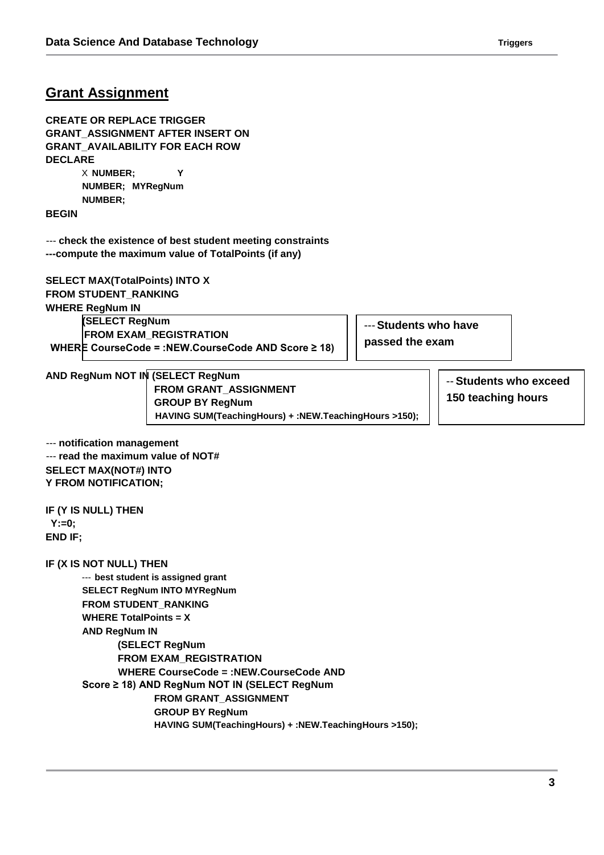### **Grant Assignment**

**CREATE OR REPLACE TRIGGER GRANT\_ASSIGNMENT AFTER INSERT ON GRANT\_AVAILABILITY FOR EACH ROW DECLARE**

X **NUMBER; Y NUMBER; MYRegNum NUMBER;**

**BEGIN**

--- **check the existence of best student meeting constraints ---compute the maximum value of TotalPoints (if any)**

**SELECT MAX(TotalPoints) INTO X FROM STUDENT\_RANKING WHERE RegNum IN (SELECT RegNum FROM EXAM\_REGISTRATION WHERE CourseCode = :NEW.CourseCode AND Score ≥ 18)**

---**Students who have passed the exam**

**AND RegNum NOT IN (SELECT RegNum FROM GRANT\_ASSIGNMENT GROUP BY RegNum HAVING SUM(TeachingHours) + :NEW.TeachingHours >150);**

-- **Students who exceed 150 teaching hours**

--- **notification management** --- **read the maximum value of NOT# SELECT MAX(NOT#) INTO Y FROM NOTIFICATION;**

**IF (Y IS NULL) THEN Y:=0; END IF;**

**IF (X IS NOT NULL) THEN**

--- **best student is assigned grant SELECT RegNum INTO MYRegNum FROM STUDENT\_RANKING WHERE TotalPoints = X AND RegNum IN (SELECT RegNum FROM EXAM\_REGISTRATION WHERE CourseCode = :NEW.CourseCode AND Score ≥ 18) AND RegNum NOT IN (SELECT RegNum FROM GRANT\_ASSIGNMENT GROUP BY RegNum HAVING SUM(TeachingHours) + :NEW.TeachingHours >150);**